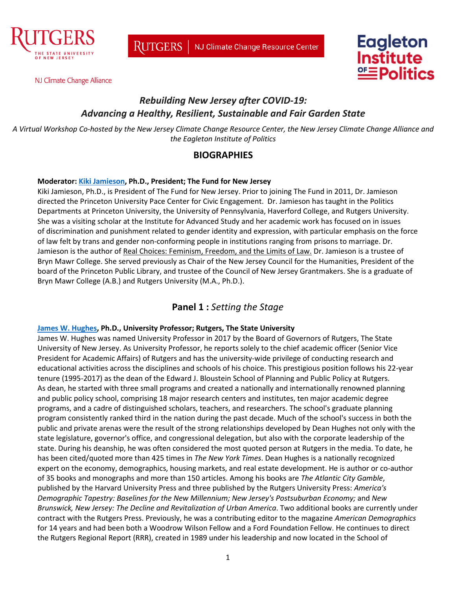

NJ Climate Change Alliance





# *Rebuilding New Jersey after COVID-19: Advancing a Healthy, Resilient, Sustainable and Fair Garden State*

*A Virtual Workshop Co-hosted by the New Jersey Climate Change Resource Center, the New Jersey Climate Change Alliance and the Eagleton Institute of Politics*

### **BIOGRAPHIES**

#### **Moderator: [Kiki Jamieson,](https://www.fundfornj.org/about/leadership-staff/kiki-jamieson) Ph.D., President; The Fund for New Jersey**

Kiki Jamieson, Ph.D., is President of The Fund for New Jersey. Prior to joining The Fund in 2011, Dr. Jamieson directed the Princeton University Pace Center for Civic Engagement. Dr. Jamieson has taught in the Politics Departments at Princeton University, the University of Pennsylvania, Haverford College, and Rutgers University. She was a visiting scholar at the Institute for Advanced Study and her academic work has focused on in issues of discrimination and punishment related to gender identity and expression, with particular emphasis on the force of law felt by trans and gender non-conforming people in institutions ranging from prisons to marriage. Dr. Jamieson is the author of Real Choices: Feminism, Freedom, and the Limits of Law. Dr. Jamieson is a trustee of Bryn Mawr College. She served previously as Chair of the New Jersey Council for the Humanities, President of the board of the Princeton Public Library, and trustee of the Council of New Jersey Grantmakers. She is a graduate of Bryn Mawr College (A.B.) and Rutgers University (M.A., Ph.D.).

### **Panel 1 :** *Setting the Stage*

#### **[James W. Hughes,](https://soe.rutgers.edu/james-w-hughes) Ph.D., University Professor; Rutgers, The State University**

James W. Hughes was named University Professor in 2017 by the Board of Governors of Rutgers, The State University of New Jersey. As University Professor, he reports solely to the chief academic officer (Senior Vice President for Academic Affairs) of Rutgers and has the university-wide privilege of conducting research and educational activities across the disciplines and schools of his choice. This prestigious position follows his 22-year tenure (1995-2017) as the dean of the Edward J. Bloustein School of Planning and Public Policy at Rutgers. As dean, he started with three small programs and created a nationally and internationally renowned planning and public policy school, comprising 18 major research centers and institutes, ten major academic degree programs, and a cadre of distinguished scholars, teachers, and researchers. The school's graduate planning program consistently ranked third in the nation during the past decade. Much of the school's success in both the public and private arenas were the result of the strong relationships developed by Dean Hughes not only with the state legislature, governor's office, and congressional delegation, but also with the corporate leadership of the state. During his deanship, he was often considered the most quoted person at Rutgers in the media. To date, he has been cited/quoted more than 425 times in *The New York Times*. Dean Hughes is a nationally recognized expert on the economy, demographics, housing markets, and real estate development. He is author or co-author of 35 books and monographs and more than 150 articles. Among his books are *The Atlantic City Gamble*, published by the Harvard University Press and three published by the Rutgers University Press: *America's Demographic Tapestry: Baselines for the New Millennium; New Jersey's Postsuburban Economy;* and *New Brunswick, New Jersey: The Decline and Revitalization of Urban America*. Two additional books are currently under contract with the Rutgers Press. Previously, he was a contributing editor to the magazine *American Demographics* for 14 years and had been both a Woodrow Wilson Fellow and a Ford Foundation Fellow. He continues to direct the Rutgers Regional Report (RRR), created in 1989 under his leadership and now located in the School of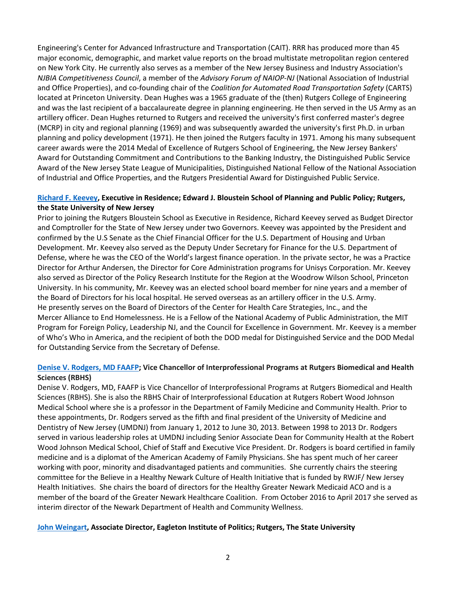Engineering's Center for Advanced Infrastructure and Transportation (CAIT). RRR has produced more than 45 major economic, demographic, and market value reports on the broad multistate metropolitan region centered on New York City. He currently also serves as a member of the New Jersey Business and Industry Association's *NJBIA Competitiveness Council*, a member of the *Advisory Forum of NAIOP-NJ* (National Association of Industrial and Office Properties), and co-founding chair of the *Coalition for Automated Road Transportation Safety* (CARTS) located at Princeton University. Dean Hughes was a 1965 graduate of the (then) Rutgers College of Engineering and was the last recipient of a baccalaureate degree in planning engineering. He then served in the US Army as an artillery officer. Dean Hughes returned to Rutgers and received the university's first conferred master's degree (MCRP) in city and regional planning (1969) and was subsequently awarded the university's first Ph.D. in urban planning and policy development (1971). He then joined the Rutgers faculty in 1971. Among his many subsequent career awards were the 2014 Medal of Excellence of Rutgers School of Engineering, the New Jersey Bankers' Award for Outstanding Commitment and Contributions to the Banking Industry, the Distinguished Public Service Award of the New Jersey State League of Municipalities, Distinguished National Fellow of the National Association of Industrial and Office Properties, and the Rutgers Presidential Award for Distinguished Public Service.

#### **[Richard F. Keevey,](https://bloustein.rutgers.edu/keevey/) Executive in Residence; Edward J. Bloustein School of Planning and Public Policy; Rutgers, the State University of New Jersey**

Prior to joining the Rutgers Bloustein School as Executive in Residence, Richard Keevey served as Budget Director and Comptroller for the State of New Jersey under two Governors. Keevey was appointed by the President and confirmed by the U.S Senate as the Chief Financial Officer for the U.S. Department of Housing and Urban Development. Mr. Keevey also served as the Deputy Under Secretary for Finance for the U.S. Department of Defense, where he was the CEO of the World's largest finance operation. In the private sector, he was a Practice Director for Arthur Andersen, the Director for Core Administration programs for Unisys Corporation. Mr. Keevey also served as Director of the Policy Research Institute for the Region at the Woodrow Wilson School, Princeton University. In his community, Mr. Keevey was an elected school board member for nine years and a member of the Board of Directors for his local hospital. He served overseas as an artillery officer in the U.S. Army. He presently serves on the Board of Directors of the Center for Health Care Strategies, Inc., and the Mercer Alliance to End Homelessness. He is a Fellow of the National Academy of Public Administration, the MIT Program for Foreign Policy, Leadership NJ, and the Council for Excellence in Government. Mr. Keevey is a member of Who's Who in America, and the recipient of both the DOD medal for Distinguished Service and the DOD Medal for Outstanding Service from the Secretary of Defense.

#### **[Denise V. Rodgers, MD FAAFP;](https://njacts.rbhs.rutgers.edu/community/denise-v-rodgers-md-faafp/) Vice Chancellor of Interprofessional Programs at Rutgers Biomedical and Health Sciences (RBHS)**

Denise V. Rodgers, MD, FAAFP is Vice Chancellor of Interprofessional Programs at Rutgers Biomedical and Health Sciences (RBHS). She is also the RBHS Chair of Interprofessional Education at Rutgers Robert Wood Johnson Medical School where she is a professor in the Department of Family Medicine and Community Health. Prior to these appointments, Dr. Rodgers served as the fifth and final president of the University of Medicine and Dentistry of New Jersey (UMDNJ) from January 1, 2012 to June 30, 2013. Between 1998 to 2013 Dr. Rodgers served in various leadership roles at UMDNJ including Senior Associate Dean for Community Health at the Robert Wood Johnson Medical School, Chief of Staff and Executive Vice President. Dr. Rodgers is board certified in family medicine and is a diplomat of the American Academy of Family Physicians. She has spent much of her career working with poor, minority and disadvantaged patients and communities. She currently chairs the steering committee for the Believe in a Healthy Newark Culture of Health Initiative that is funded by RWJF/ New Jersey Health Initiatives. She chairs the board of directors for the Healthy Greater Newark Medicaid ACO and is a member of the board of the Greater Newark Healthcare Coalition. From October 2016 to April 2017 she served as interim director of the Newark Department of Health and Community Wellness.

#### **[John Weingart,](https://eagleton.rutgers.edu/staff/john-weingart/) Associate Director, Eagleton Institute of Politics; Rutgers, The State University**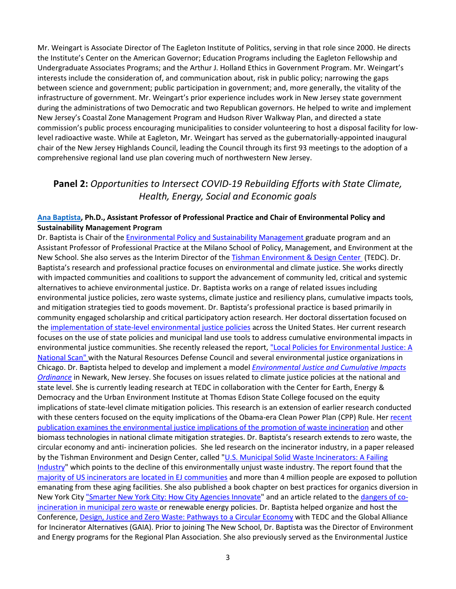Mr. Weingart is Associate Director of The Eagleton Institute of Politics, serving in that role since 2000. He directs the Institute's Center on the American Governor; Education Programs including the Eagleton Fellowship and Undergraduate Associates Programs; and the Arthur J. Holland Ethics in Government Program. Mr. Weingart's interests include the consideration of, and communication about, risk in public policy; narrowing the gaps between science and government; public participation in government; and, more generally, the vitality of the infrastructure of government. Mr. Weingart's prior experience includes work in New Jersey state government during the administrations of two Democratic and two Republican governors. He helped to write and implement New Jersey's Coastal Zone Management Program and Hudson River Walkway Plan, and directed a state commission's public process encouraging municipalities to consider volunteering to host a disposal facility for lowlevel radioactive waste. While at Eagleton, Mr. Weingart has served as the gubernatorially-appointed inaugural chair of the New Jersey Highlands Council, leading the Council through its first 93 meetings to the adoption of a comprehensive regional land use plan covering much of northwestern New Jersey.

## **Panel 2:** *Opportunities to Intersect COVID-19 Rebuilding Efforts with State Climate, Health, Energy, Social and Economic goals*

#### **[Ana Baptista,](https://www.newschool.edu/milano/faculty/ana-baptista/) Ph.D., Assistant Professor of Professional Practice and Chair of Environmental Policy and Sustainability Management Program**

Dr. Baptista is Chair of the [Environmental Policy and Sustainability Management](http://www.newschool.edu/public-engagement/ms-environmental-policy-sustainability-management/) graduate program and an Assistant Professor of Professional Practice at the Milano School of Policy, Management, and Environment at the New School. She also serves as the Interim Director of the [Tishman Environment & Design Center](http://www.newschool.edu/tishman-center/) (TEDC). Dr. Baptista's research and professional practice focuses on environmental and climate justice. She works directly with impacted communities and coalitions to support the advancement of community led, critical and systemic alternatives to achieve environmental justice. Dr. Baptista works on a range of related issues including environmental justice policies, zero waste systems, climate justice and resiliency plans, cumulative impacts tools, and mitigation strategies tied to goods movement. Dr. Baptista's professional practice is based primarily in community engaged scholarship and critical participatory action research. Her doctoral dissertation focused on the [implementation of state-level environmental justice policies](https://rucore.libraries.rutgers.edu/rutgers-lib/24087/PDF/1/play/) across the United States. Her current research focuses on the use of state policies and municipal land use tools to address cumulative environmental impacts in environmental justice communities. She recently released the report, ["Local Policies for Environmental Justice: A](https://tishmancenter.org/local-land-use-policies-for-environmental-justice-in-collaboration-with-nrdc/)  [National Scan" w](https://tishmancenter.org/local-land-use-policies-for-environmental-justice-in-collaboration-with-nrdc/)ith the Natural Resources Defense Council and several environmental justice organizations in Chicago. Dr. Baptista helped to develop and implement a model *Environmental Justice and Cumulative Impacts Ordinance* in Newark, New Jersey. She focuses on issues related to climate justice policies at the national and state level. She is currently leading research at TEDC in collaboration with the Center for Earth, Energy & Democracy and the Urban Environment Institute at Thomas Edison State College focused on the equity implications of state-level climate mitigation policies. This research is an extension of earlier research conducted with these centers focused on the equity implications of the Obama-era Clean Power Plan (CPP) Rule. Her recent [publication examines the environmental justice implications of the promotion of waste incineration](http://blogs.newschool.edu/tedc/files/2016/07/Baptista_Garbage_Power_CPP1.pdf) and other biomass technologies in national climate mitigation strategies. Dr. Baptista's research extends to zero waste, the circular economy and anti- incineration policies. She led research on the incinerator industry, in a paper released by the Tishman Environment and Design Center, called ["U.S. Municipal Solid Waste Incinerators: A Failing](https://tishmancenter.org/wp-content/uploads/2019/05/CR_GaiaReportFinal_05.21.pdf)  [Industry"](https://tishmancenter.org/wp-content/uploads/2019/05/CR_GaiaReportFinal_05.21.pdf) which points to the decline of this environmentally unjust waste industry. The report found that the [majority of US incinerators are located in EJ communities](http://theconversation.com/is-burning-trash-a-good-way-to-handle-it-waste-incineration-in-5-charts-118665) and more than 4 million people are exposed to pollution emanating from these aging facilities. She also published a book chapter on best practices for organics diversion in New York City ["Smarter New York City: How City Agencies Innovate"](https://cup.columbia.edu/book/smarter-new-york-city/9780231183758) and an article related to th[e dangers of co](https://theconversation.com/garbage-in-garbage-out-incinerating-trash-is-not-an-effective-way-to-protect-the-climate-or-reduce-waste-84182)[incineration in municipal zero waste o](https://theconversation.com/garbage-in-garbage-out-incinerating-trash-is-not-an-effective-way-to-protect-the-climate-or-reduce-waste-84182)r renewable energy policies. Dr. Baptista helped organize and host the Conference, [Design, Justice and Zero Waste: Pathways to a Circular Economy](https://tishmancenter.org/design-justice-zero-waste/) with TEDC and the Global Alliance for Incinerator Alternatives (GAIA). Prior to joining The New School, Dr. Baptista was the Director of Environment and Energy programs for the Regional Plan Association. She also previously served as the Environmental Justice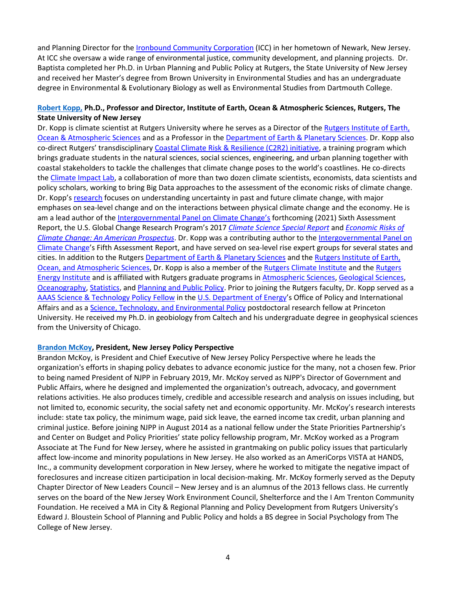and Planning Director for th[e Ironbound Community Corporation](http://www.newschool.edu/public-engagement/ms-environmental-policy-sustainability-management/) (ICC) in her hometown of Newark, New Jersey. At ICC she oversaw a wide range of environmental justice, community development, and planning projects. Dr. Baptista completed her Ph.D. in Urban Planning and Public Policy at Rutgers, the State University of New Jersey and received her Master's degree from Brown University in Environmental Studies and has an undergraduate degree in Environmental & Evolutionary Biology as well as Environmental Studies from Dartmouth College.

#### **[Robert Kopp,](http://www.bobkopp.net/) Ph.D., Professor and Director, Institute of Earth, Ocean & Atmospheric Sciences, Rutgers, The State University of New Jersey**

Dr. Kopp is climate scientist at Rutgers University where he serves as a Director of the [Rutgers Institute of Earth,](http://eoas.rutgers.edu/)  [Ocean & Atmospheric](http://eoas.rutgers.edu/) Sciences and as a Professor in the [Department of Earth & Planetary Sciences.](http://geology.rutgers.edu/) Dr. Kopp also co-direct Rutgers' transdisciplinary [Coastal Climate Risk & Resilience \(C2R2\) initiative,](http://c2r2.rutgers.edu/) a training program which brings graduate students in the natural sciences, social sciences, engineering, and urban planning together with coastal stakeholders to tackle the challenges that climate change poses to the world's coastlines. He co-directs the [Climate Impact Lab,](http://www.impactlab.org/) a collaboration of more than two dozen climate scientists, economists, data scientists and policy scholars, working to bring Big Data approaches to the assessment of the economic risks of climate change. Dr. Kopp's [research](http://www.bobkopp.net/research/) focuses on understanding uncertainty in past and future climate change, with major emphases on sea-level change and on the interactions between physical climate change and the economy. He is am a lead author of the [Intergovernmental Panel on Climate Change's](http://www.ipcc.ch/) forthcoming (2021) Sixth Assessment Report, the U.S. Global Change Research Program's 2017 *[Climate Science Special Report](https://science2017.globalchange.gov/)* and *[Economic Risks of](http://www.climateprospectus.org/)  [Climate Change: An American Prospectus](http://www.climateprospectus.org/)*. Dr. Kopp was a contributing author to the [Intergovernmental Panel on](http://www.ipcc.ch/)  [Climate Change'](http://www.ipcc.ch/)s Fifth Assessment Report, and have served on sea-level rise expert groups for several states and cities. In addition to the Rutger[s Department of Earth & Planetary Sciences](http://geology.rutgers.edu/) and the Rutgers Institute of Earth, [Ocean, and Atmospheric Sciences,](http://eoas.rutgers.edu/) Dr. Kopp is also a member of th[e Rutgers Climate Institute](http://climatechange.rutgers.edu/) and the [Rutgers](http://rei.rutgers.edu/)  [Energy Institute](http://rei.rutgers.edu/) and is affiliated with Rutgers graduate programs i[n Atmospheric Sciences,](http://atmos.rutgers.edu/) [Geological Sciences,](http://eps.rutgers.edu/) [Oceanography,](http://marine.rutgers.edu/) [Statistics,](http://statistics.rutgers.edu/) and [Planning and Public Policy.](http://policy.rutgers.edu/) Prior to joining the Rutgers faculty, Dr. Kopp served as a [AAAS Science & Technology Policy Fellow](http://fellowships.aaas.org/) in th[e U.S.](http://www.energy.gov/) [Department of Energy'](http://www.energy.gov/)s Office of Policy and International Affairs and as a [Science, Technology, and Environmental Policy](http://www.princeton.edu/step/) postdoctoral research fellow at Princeton University. He received my Ph.D. in geobiology from Caltech and his undergraduate degree in geophysical sciences from the University of Chicago.

#### **[Brandon McKoy,](https://www.njpp.org/author/brandon-mckoy) President, New Jersey Policy Perspective**

Brandon McKoy, is President and Chief Executive of New Jersey Policy Perspective where he leads the organization's efforts in shaping policy debates to advance economic justice for the many, not a chosen few. Prior to being named President of NJPP in February 2019, Mr. McKoy served as NJPP's Director of Government and Public Affairs, where he designed and implemented the organization's outreach, advocacy, and government relations activities. He also produces timely, credible and accessible research and analysis on issues including, but not limited to, economic security, the social safety net and economic opportunity. Mr. McKoy's research interests include: state tax policy, the minimum wage, paid sick leave, the earned income tax credit, urban planning and criminal justice. Before joining NJPP in August 2014 as a national fellow under the State Priorities Partnership's and Center on Budget and Policy Priorities' state policy fellowship program, Mr. McKoy worked as a Program Associate at The Fund for New Jersey, where he assisted in grantmaking on public policy issues that particularly affect low-income and minority populations in New Jersey. He also worked as an AmeriCorps VISTA at HANDS, Inc., a community development corporation in New Jersey, where he worked to mitigate the negative impact of foreclosures and increase citizen participation in local decision-making. Mr. McKoy formerly served as the Deputy Chapter Director of New Leaders Council – New Jersey and is an alumnus of the 2013 fellows class. He currently serves on the board of the New Jersey Work Environment Council, Shelterforce and the I Am Trenton Community Foundation. He received a MA in City & Regional Planning and Policy Development from Rutgers University's Edward J. Bloustein School of Planning and Public Policy and holds a BS degree in Social Psychology from The College of New Jersey.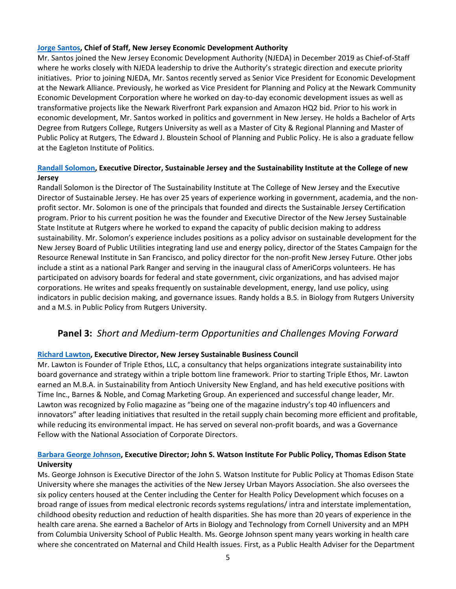#### **[Jorge Santos,](https://www.njeda.com/about/Who-We-Are/board/Executive-Team/Jorge-Santos) Chief of Staff, New Jersey Economic Development Authority**

Mr. Santos joined the New Jersey Economic Development Authority (NJEDA) in December 2019 as Chief-of-Staff where he works closely with NJEDA leadership to drive the Authority's strategic direction and execute priority initiatives. Prior to joining NJEDA, Mr. Santos recently served as Senior Vice President for Economic Development at the Newark Alliance. Previously, he worked as Vice President for Planning and Policy at the Newark Community Economic Development Corporation where he worked on day-to-day economic development issues as well as transformative projects like the Newark Riverfront Park expansion and Amazon HQ2 bid. Prior to his work in economic development, Mr. Santos worked in politics and government in New Jersey. He holds a Bachelor of Arts Degree from Rutgers College, Rutgers University as well as a Master of City & Regional Planning and Master of Public Policy at Rutgers, The Edward J. Bloustein School of Planning and Public Policy. He is also a graduate fellow at the Eagleton Institute of Politics.

#### **[Randall Solomon,](https://www.sustainablejersey.com/about/staff/staff-bios/) Executive Director, Sustainable Jersey and the Sustainability Institute at the College of new Jersey**

Randall Solomon is the Director of The Sustainability Institute at The College of New Jersey and the Executive Director of Sustainable Jersey. He has over 25 years of experience working in government, academia, and the nonprofit sector. Mr. Solomon is one of the principals that founded and directs the Sustainable Jersey Certification program. Prior to his current position he was the founder and Executive Director of the New Jersey Sustainable State Institute at Rutgers where he worked to expand the capacity of public decision making to address sustainability. Mr. Solomon's experience includes positions as a policy advisor on sustainable development for the New Jersey Board of Public Utilities integrating land use and energy policy, director of the States Campaign for the Resource Renewal Institute in San Francisco, and policy director for the non-profit New Jersey Future. Other jobs include a stint as a national Park Ranger and serving in the inaugural class of AmeriCorps volunteers. He has participated on advisory boards for federal and state government, civic organizations, and has advised major corporations. He writes and speaks frequently on sustainable development, energy, land use policy, using indicators in public decision making, and governance issues. Randy holds a B.S. in Biology from Rutgers University and a M.S. in Public Policy from Rutgers University.

## **Panel 3:** *Short and Medium-term Opportunities and Challenges Moving Forward*

### **[Richard Lawton,](http://njsbcouncil.org/employees/richard-lawton/) Executive Director, New Jersey Sustainable Business Council**

Mr. Lawton is Founder of Triple Ethos, LLC, a consultancy that helps organizations integrate sustainability into board governance and strategy within a triple bottom line framework. Prior to starting Triple Ethos, Mr. Lawton earned an M.B.A. in Sustainability from Antioch University New England, and has held executive positions with Time Inc., Barnes & Noble, and Comag Marketing Group. An experienced and successful change leader, Mr. Lawton was recognized by Folio magazine as "being one of the magazine industry's top 40 influencers and innovators" after leading initiatives that resulted in the retail supply chain becoming more efficient and profitable, while reducing its environmental impact. He has served on several non-profit boards, and was a Governance Fellow with the National Association of Corporate Directors.

### **[Barbara George Johnson,](https://www.tesu.edu/watson/institute/executive-director) Executive Director; John S. Watson Institute For Public Policy, Thomas Edison State University**

Ms. George Johnson is Executive Director of the John S. Watson Institute for Public Policy at Thomas Edison State University where she manages the activities of the New Jersey Urban Mayors Association. She also oversees the six policy centers housed at the Center including the Center for Health Policy Development which focuses on a broad range of issues from medical electronic records systems regulations/ intra and interstate implementation, childhood obesity reduction and reduction of health disparities. She has more than 20 years of experience in the health care arena. She earned a Bachelor of Arts in Biology and Technology from Cornell University and an MPH from Columbia University School of Public Health. Ms. George Johnson spent many years working in health care where she concentrated on Maternal and Child Health issues. First, as a Public Health Adviser for the Department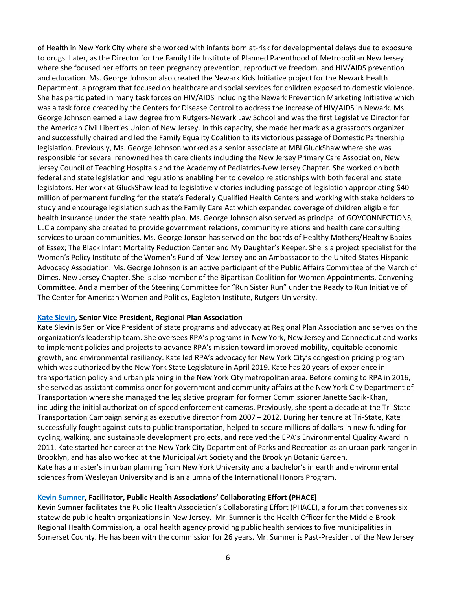of Health in New York City where she worked with infants born at-risk for developmental delays due to exposure to drugs. Later, as the Director for the Family Life Institute of Planned Parenthood of Metropolitan New Jersey where she focused her efforts on teen pregnancy prevention, reproductive freedom, and HIV/AIDS prevention and education. Ms. George Johnson also created the Newark Kids Initiative project for the Newark Health Department, a program that focused on healthcare and social services for children exposed to domestic violence. She has participated in many task forces on HIV/AIDS including the Newark Prevention Marketing Initiative which was a task force created by the Centers for Disease Control to address the increase of HIV/AIDS in Newark. Ms. George Johnson earned a Law degree from Rutgers-Newark Law School and was the first Legislative Director for the American Civil Liberties Union of New Jersey. In this capacity, she made her mark as a grassroots organizer and successfully chaired and led the Family Equality Coalition to its victorious passage of Domestic Partnership legislation. Previously, Ms. George Johnson worked as a senior associate at MBI GluckShaw where she was responsible for several renowned health care clients including the New Jersey Primary Care Association, New Jersey Council of Teaching Hospitals and the Academy of Pediatrics-New Jersey Chapter. She worked on both federal and state legislation and regulations enabling her to develop relationships with both federal and state legislators. Her work at GluckShaw lead to legislative victories including passage of legislation appropriating \$40 million of permanent funding for the state's Federally Qualified Health Centers and working with stake holders to study and encourage legislation such as the Family Care Act which expanded coverage of children eligible for health insurance under the state health plan. Ms. George Johnson also served as principal of GOVCONNECTIONS, LLC a company she created to provide government relations, community relations and health care consulting services to urban communities. Ms. George Jonson has served on the boards of Healthy Mothers/Healthy Babies of Essex; The Black Infant Mortality Reduction Center and My Daughter's Keeper. She is a project specialist for the Women's Policy Institute of the Women's Fund of New Jersey and an Ambassador to the United States Hispanic Advocacy Association. Ms. George Johnson is an active participant of the Public Affairs Committee of the March of Dimes, New Jersey Chapter. She is also member of the Bipartisan Coalition for Women Appointments, Convening Committee. And a member of the Steering Committee for "Run Sister Run" under the Ready to Run Initiative of The Center for American Women and Politics, Eagleton Institute, Rutgers University.

#### **[Kate Slevin,](https://rpa.org/about/staff/kate-slevin) Senior Vice President, Regional Plan Association**

Kate Slevin is Senior Vice President of state programs and advocacy at Regional Plan Association and serves on the organization's leadership team. She oversees RPA's programs in New York, New Jersey and Connecticut and works to implement policies and projects to advance RPA's mission toward improved mobility, equitable economic growth, and environmental resiliency. Kate led RPA's advocacy for New York City's congestion pricing program which was authorized by the New York State Legislature in April 2019. Kate has 20 years of experience in transportation policy and urban planning in the New York City metropolitan area. Before coming to RPA in 2016, she served as assistant commissioner for government and community affairs at the New York City Department of Transportation where she managed the legislative program for former Commissioner Janette Sadik-Khan, including the initial authorization of speed enforcement cameras. Previously, she spent a decade at the Tri-State Transportation Campaign serving as executive director from 2007 – 2012. During her tenure at Tri-State, Kate successfully fought against cuts to public transportation, helped to secure millions of dollars in new funding for cycling, walking, and sustainable development projects, and received the EPA's Environmental Quality Award in 2011. Kate started her career at the New York City Department of Parks and Recreation as an urban park ranger in Brooklyn, and has also worked at the Municipal Art Society and the Brooklyn Botanic Garden. Kate has a master's in urban planning from New York University and a bachelor's in earth and environmental sciences from Wesleyan University and is an alumna of the International Honors Program.

#### **[Kevin Sumner,](https://njaccho.org/about-njaccho/executivecommittee/kevin-g-sumner-mph/) Facilitator, Public Health Associations' Collaborating Effort (PHACE)**

Kevin Sumner facilitates the Public Health Association's Collaborating Effort (PHACE), a forum that convenes six statewide public health organizations in New Jersey. Mr. Sumner is the Health Officer for the Middle-Brook Regional Health Commission, a local health agency providing public health services to five municipalities in Somerset County. He has been with the commission for 26 years. Mr. Sumner is Past-President of the New Jersey